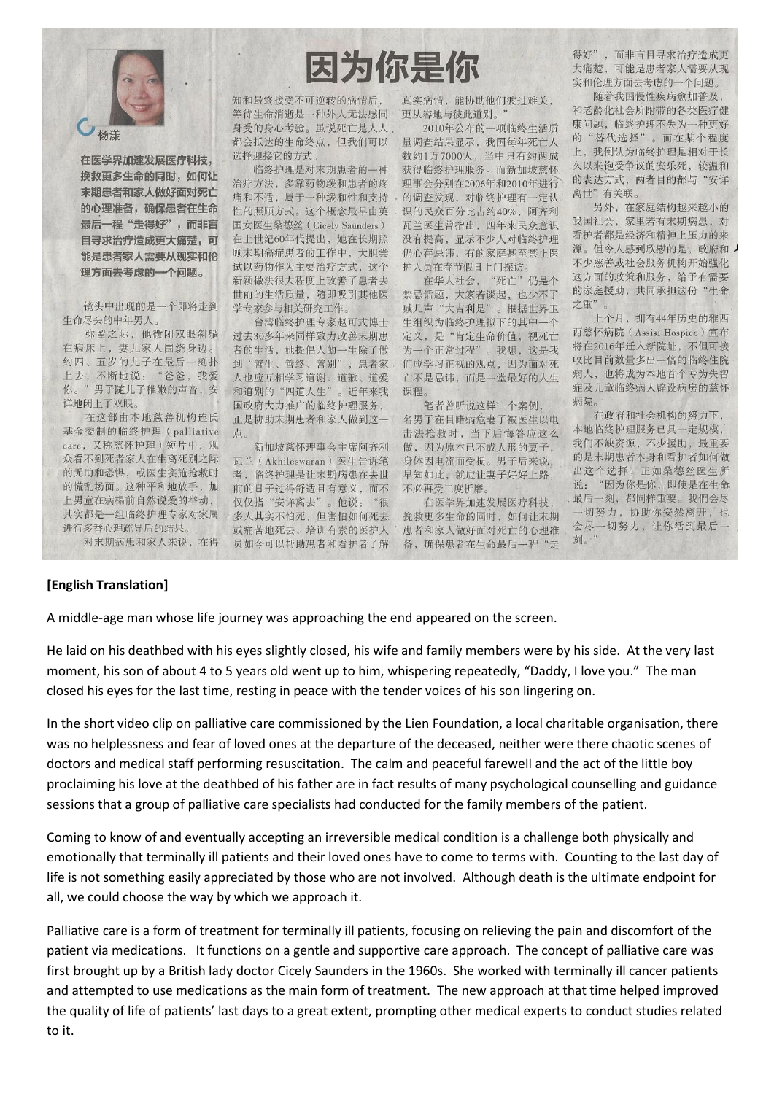

在医学界加速发展医疗科技, 挽救更多生命的同时, 如何让 末期患者和家人做好面对死亡 的心理准备,确保患者在生命 最后一程"走得好",而非盲 目寻求治疗造成更大痛楚,可 能是患者家人需要从现实和伦 理方面去考虑的一个问题。

镜头中出现的是一个即将走到 生命尽头的中年男人。

弥留之际,他微闭双眼斜躺 在病床上, 妻儿家人围绕身边。 约四、五岁的儿子在最后一刻扑 上去,不断地说: "爸爸,我爱 你。"男子随儿子稚嫩的声音,安 详地闭上了双眼。

在这部由本地慈善机构连氏 基金委制的临终护理 (palliative care, 又称慈怀护理)短片中, 观 众看不到死者家人在生离死别之际 的无助和恐惧, 或医生实施抢救时 的慌乱场面。这种平和地放手,加 上男童在病榻前自然说爱的举动, 其实都是一组临终护理专家对家属 进行多番心理疏导后的结果 对末期病患和家人来说, 在得

## 因为你是你

知和最终接受不可逆转的病情后, 等待生命消逝是一种外人无法感同 身受的身心考验。虽说死亡是人人 都会抵达的生命终点,但我们可以 选择迎接它的方式。

临终护理是对末期患者的一种 治疗方法,多靠药物缓和患者的疼 痛和不适, 属于一种缓和性和支持 性的照顾方式。这个概念最早由英 国女医生桑德丝 (Cicely Saunders) 在上世纪60年代提出,她在长期照 顾末期癌症患者的工作中,大胆尝 试以药物作为主要治疗方式, 这个 新颖做法很大程度上改善了患者去 世前的生活质量, 随即吸引其他医 学专家参与相关研究工作。

台湾临终护理专家赵可式博士 过去30多年来同样致力改善末期患 者的生活,她提倡人的一生除了做 到"善生、善终、善别" , 患者家 人也应互相学习道谢、道歉、道爱 和道别的"四道人生" 。近年来我 国政府大力推广的临终护理服务, 正是协助末期患者和家人做到这一 点。

新加坡慈怀理事会主席阿齐利 瓦兰 (Akhileswaran) 医生告诉笔 者, 临终护理是让末期病患在去世 前的日子过得舒适且有意义,而不 仅仅指"安详离去"。他说:"很 多人其实不怕死,但害怕如何死去 或痛苦地死去, 培训有素的医护人 员如今可以帮助患者和看护者了解

真实病情, 能协助他们渡过难关, 更从容地与彼此道别。

2010年公布的一项临终生活质 量调查结果显示, 我国每年死亡人 数约1万7000人, 当中只有约两成 获得临终护理服务。而新加坡慈怀 理事会分别在2006年和2010年进行 的调查发现, 对临终护理有一定认 识的民众百分比占约40%, 阿齐利 瓦兰医生曾指出,四年来民众意识 没有提高,显示不少人对临终护理 仍心存忌讳,有的家庭甚至禁止医 护人员在春节假日上门探访。

在华人社会, "死亡"仍是个 禁忌话题,大家若谈起,也少不了 喊儿声"大吉利是"。根据世界卫 生组织为临终护理拟下的其中一个 定义,是"肯定生命价值,视死亡 为一个正常过程"。我想,这是我 们应学习正视的观点,因为面对死 亡不是忌讳, 而是一堂最好的人生 课程。

笔者曾听说这样一个案例, 一 名男子在目睹病危妻子被医生以电 击法抢救时, 当下后悔答应这么 做,因为原本已不成人形的妻子, 身体因电流而受损。男子后来说, 早知如此, 就应让妻子好好上路, 不必再受二度折磨。

在医学界加速发展医疗科技, 挽救更多生命的同时, 如何让末期 患者和家人做好面对死亡的心理准 备,确保患者在生命最后一程"走 得好",而非盲目寻求治疗造成更 大痛楚,可能是患者家人需要从现 实和伦理方面去考虑的一个问题。

随着我国慢性疾病愈加普及, 和老龄化社会所附带的各类医疗健 康问题, 临终护理不失为一种更好 的"替代选择"。而在某个程度 我倒认为临终护理是相对于长  $\vdash$ . 久以来饱受争议的安乐死,较温和 的表达方式,两者目的都与"安详 离世"有关联。

另外, 在家庭结构越来越小的 我国社会, 家里若有末期病患, 对 看护者都是经济和精神上压力的来 源。但令人感到欣慰的是,政府和 不少慈善或社会服务机构开始强化 这方面的政策和服务, 给予有需要 的家庭援助,共同承担这份"生命 之重"

上个月, 拥有44年历史的雅西 西慈怀病院 (Assisi Hospice) 宣布 将在2016年迁入新院址,不但可接 收比目前数量多出一倍的临终住院 病人, 也将成为本地首个专为失智 症及儿童临终病人辟设病房的慈怀 病院。

在政府和社会机构的努力下, 本地临终护理服务已具一定规模, 我们不缺资源,不少援助,最重要 的是末期患者本身和看护者如何做 出这个选择, 正如桑德丝医生所 说: "因为你是你, 即使是在生命 最后一刻,都同样重要。我們会尽 一切努力,协助你安然离开,也 会尽一切努力,让你活到最后一 刻。"

## [English Translation]

A middle-age man whose life journey was approaching the end appeared on the screen.

He laid on his deathbed with his eyes slightly closed, his wife and family members were by his side. At the very last moment, his son of about 4 to 5 years old went up to him, whispering repeatedly, "Daddy, I love you." The man closed his eyes for the last time, resting in peace with the tender voices of his son lingering on.

In the short video clip on palliative care commissioned by the Lien Foundation, a local charitable organisation, there was no helplessness and fear of loved ones at the departure of the deceased, neither were there chaotic scenes of doctors and medical staff performing resuscitation. The calm and peaceful farewell and the act of the little boy proclaiming his love at the deathbed of his father are in fact results of many psychological counselling and guidance sessions that a group of palliative care specialists had conducted for the family members of the patient.

Coming to know of and eventually accepting an irreversible medical condition is a challenge both physically and emotionally that terminally ill patients and their loved ones have to come to terms with. Counting to the last day of life is not something easily appreciated by those who are not involved. Although death is the ultimate endpoint for all, we could choose the way by which we approach it.

Palliative care is a form of treatment for terminally ill patients, focusing on relieving the pain and discomfort of the patient via medications. It functions on a gentle and supportive care approach. The concept of palliative care was first brought up by a British lady doctor Cicely Saunders in the 1960s. She worked with terminally ill cancer patients and attempted to use medications as the main form of treatment. The new approach at that time helped improved the quality of life of patients' last days to a great extent, prompting other medical experts to conduct studies related to it.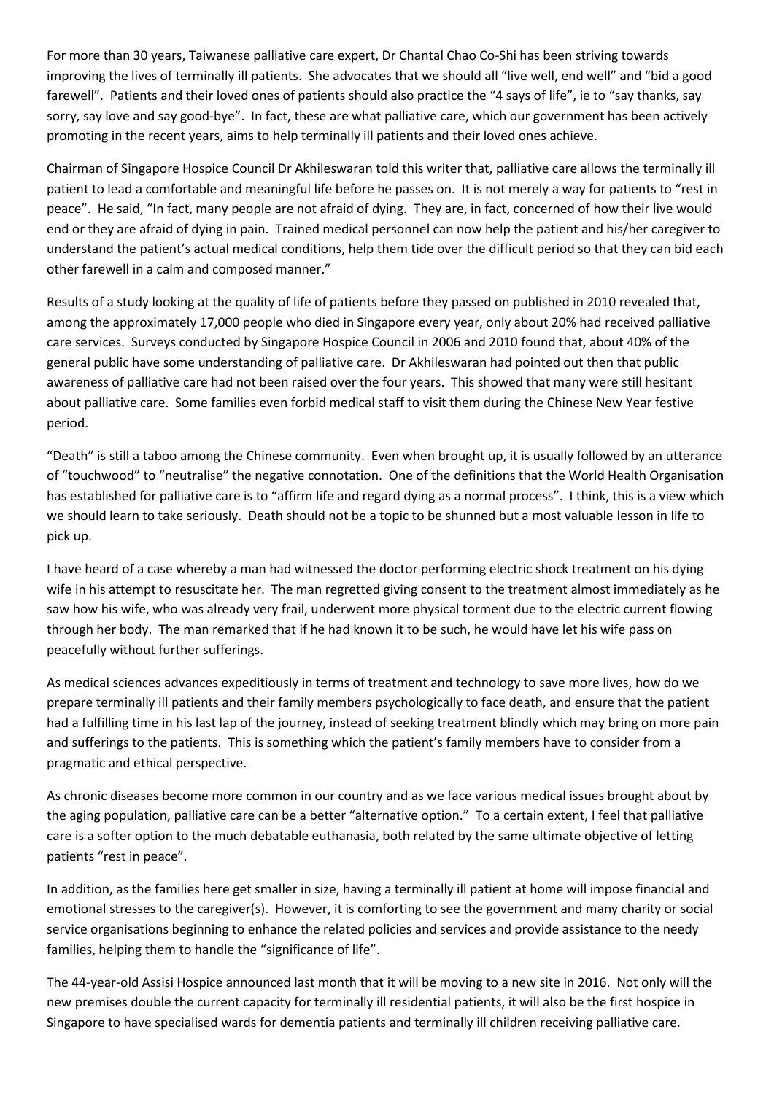For more than 30 years, Taiwanese palliative care expert, Dr Chantal Chao Co-Shi has been striving towards improving the lives of terminally ill patients. She advocates that we should all "live well, end well" and "bid a good farewell". Patients and their loved ones of patients should also practice the "4 says of life", ie to "say thanks, say sorry, say love and say good-bye". In fact, these are what palliative care, which our government has been actively promoting in the recent years, aims to help terminally ill patients and their loved ones achieve.

Chairman of Singapore Hospice Council Dr Akhileswaran told this writer that, palliative care allows the terminally ill patient to lead a comfortable and meaningful life before he passes on. It is not merely a way for patients to "rest in peace". He said, "In fact, many people are not afraid of dying. They are, in fact, concerned of how their live would end or they are afraid of dying in pain. Trained medical personnel can now help the patient and his/her caregiver to understand the patient's actual medical conditions, help them tide over the difficult period so that they can bid each other farewell in a calm and composed manner."

Results of a study looking at the quality of life of patients before they passed on published in 2010 revealed that, among the approximately 17,000 people who died in Singapore every year, only about 20% had received palliative care services. Surveys conducted by Singapore Hospice Council in 2006 and 2010 found that, about 40% of the general public have some understanding of palliative care. Dr Akhileswaran had pointed out then that public awareness of palliative care had not been raised over the four years. This showed that many were still hesitant about palliative care. Some families even forbid medical staff to visit them during the Chinese New Year festive period.

"Death" is still a taboo among the Chinese community. Even when brought up, it is usually followed by an utterance of "touchwood" to "neutralise" the negative connotation. One of the definitions that the World Health Organisation has established for palliative care is to "affirm life and regard dying as a normal process". I think, this is a view which we should learn to take seriously. Death should not be a topic to be shunned but a most valuable lesson in life to pick up.

I have heard of a case whereby a man had witnessed the doctor performing electric shock treatment on his dying wife in his attempt to resuscitate her. The man regretted giving consent to the treatment almost immediately as he saw how his wife, who was already very frail, underwent more physical torment due to the electric current flowing through her body. The man remarked that if he had known it to be such, he would have let his wife pass on peacefully without further sufferings.

As medical sciences advances expeditiously in terms of treatment and technology to save more lives, how do we prepare terminally ill patients and their family members psychologically to face death, and ensure that the patient had a fulfilling time in his last lap of the journey, instead of seeking treatment blindly which may bring on more pain and sufferings to the patients. This is something which the patient's family members have to consider from a pragmatic and ethical perspective.

As chronic diseases become more common in our country and as we face various medical issues brought about by the aging population, palliative care can be a better "alternative option." To a certain extent, I feel that palliative care is a softer option to the much debatable euthanasia, both related by the same ultimate objective of letting patients "rest in peace".

In addition, as the families here get smaller in size, having a terminally ill patient at home will impose financial and emotional stresses to the caregiver(s). However, it is comforting to see the government and many charity or social service organisations beginning to enhance the related policies and services and provide assistance to the needy families, helping them to handle the "significance of life".

The 44-year-old Assisi Hospice announced last month that it will be moving to a new site in 2016. Not only will the new premises double the current capacity for terminally ill residential patients, it will also be the first hospice in Singapore to have specialised wards for dementia patients and terminally ill children receiving palliative care.